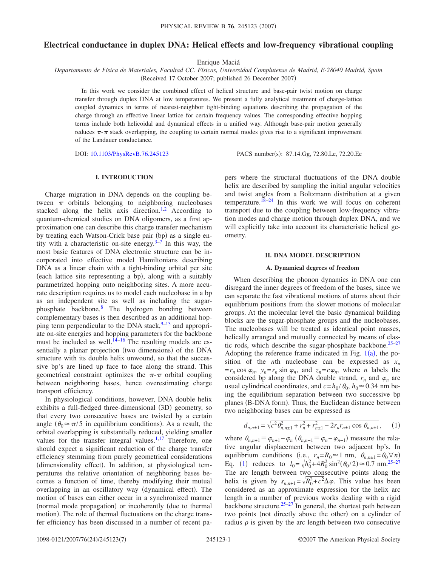# **Electrical conductance in duplex DNA: Helical effects and low-frequency vibrational coupling**

Enrique Maciá

*Departamento de Física de Materiales, Facultad CC. Físicas, Universidad Complutense de Madrid, E-28040 Madrid, Spain* (Received 17 October 2007; published 26 December 2007)

In this work we consider the combined effect of helical structure and base-pair twist motion on charge transfer through duplex DNA at low temperatures. We present a fully analytical treatment of charge-lattice coupled dynamics in terms of nearest-neighbor tight-binding equations describing the propagation of the charge through an effective linear lattice for certain frequency values. The corresponding effective hopping terms include both helicoidal and dynamical effects in a unified way. Although base-pair motion generally reduces  $\pi - \pi$  stack overlapping, the coupling to certain normal modes gives rise to a significant improvement of the Landauer conductance.

DOI: [10.1103/PhysRevB.76.245123](http://dx.doi.org/10.1103/PhysRevB.76.245123)

PACS number(s): 87.14.Gg, 72.80.Le, 72.20.Ee

## **I. INTRODUCTION**

Charge migration in DNA depends on the coupling between  $\pi$  orbitals belonging to neighboring nucleobases stacked along the helix axis direction.<sup>1,[2](#page-6-1)</sup> According to quantum-chemical studies on DNA oligomers, as a first approximation one can describe this charge transfer mechanism by treating each Watson-Crick base pair (bp) as a single entity with a characteristic on-site energy. $3-7$  $3-7$  In this way, the most basic features of DNA electronic structure can be incorporated into effective model Hamiltonians describing DNA as a linear chain with a tight-binding orbital per site (each lattice site representing a bp), along with a suitably parametrized hopping onto neighboring sites. A more accurate description requires us to model each nucleobase in a bp as an independent site as well as including the sugarphosphate backbone[.8](#page-6-4) The hydrogen bonding between complementary bases is then described as an additional hopping term perpendicular to the DNA stack, $9-13$  $9-13$  and appropriate on-site energies and hopping parameters for the backbone must be included as well.<sup>14[–16](#page-6-8)</sup> The resulting models are essentially a planar projection (two dimensions) of the DNA structure with its double helix unwound, so that the successive bp's are lined up face to face along the strand. This geometrical constraint optimizes the  $\pi$ - $\pi$  orbital coupling between neighboring bases, hence overestimating charge transport efficiency.

In physiological conditions, however, DNA double helix exhibits a full-fledged three-dimensional (3D) geometry, so that every two consecutive bases are twisted by a certain angle ( $\theta_0 \approx \pi/5$  in equilibrium conditions). As a result, the orbital overlapping is substantially reduced, yielding smaller values for the transfer integral values. $1,17$  $1,17$  Therefore, one should expect a significant reduction of the charge transfer efficiency stemming from purely geometrical considerations (dimensionality effect). In addition, at physiological temperatures the relative orientation of neighboring bases becomes a function of time, thereby modifying their mutual overlapping in an oscillatory way (dynamical effect). The motion of bases can either occur in a synchronized manner (normal mode propagation) or incoherently (due to thermal motion). The role of thermal fluctuations on the charge transfer efficiency has been discussed in a number of recent papers where the structural fluctuations of the DNA double helix are described by sampling the initial angular velocities and twist angles from a Boltzmann distribution at a given temperature.<sup>18[–24](#page-6-11)</sup> In this work we will focus on coherent transport due to the coupling between low-frequency vibration modes and charge motion through duplex DNA, and we will explicitly take into account its characteristic helical geometry.

### **II. DNA MODEL DESCRIPTION**

#### **A. Dynamical degrees of freedom**

When describing the phonon dynamics in DNA one can disregard the inner degrees of freedom of the bases, since we can separate the fast vibrational motions of atoms about their equilibrium positions from the slower motions of molecular groups. At the molecular level the basic dynamical building blocks are the sugar-phosphate groups and the nucleobases. The nucleobases will be treated as identical point masses, helically arranged and mutually connected by means of elastic rods, which describe the sugar-phosphate backbone. $25-27$ Adopting the reference frame indicated in Fig.  $1(a)$  $1(a)$ , the position of the *n*th nucleobase can be expressed as  $x_n$  $=r_n \cos \varphi_n$ ,  $y_n = r_n \sin \varphi_n$ , and  $z_n = c\varphi_n$ , where *n* labels the considered bp along the DNA double strand,  $r_n$  and  $\varphi_n$  are usual cylindrical coordinates, and  $c = h_0 / \theta_0$ ,  $h_0 \approx 0.34$  nm being the equilibrium separation between two successive bp planes (B-DNA form). Thus, the Euclidean distance between two neighboring bases can be expressed as

$$
d_{n,n\pm 1} = \sqrt{c^2 \theta_{n,n\pm 1}^2 + r_n^2 + r_{n\pm 1}^2 - 2r_n r_{n\pm 1} \cos \theta_{n,n\pm 1}},
$$
 (1)

<span id="page-0-0"></span>where  $\theta_{n,n+1} \equiv \varphi_{n+1} - \varphi_n$  ( $\theta_{n,n-1} \equiv \varphi_n - \varphi_{n-1}$ ) measure the relative angular displacement between two adjacent bp's. In equilibrium conditions (i.e.,  $r_n = R_0 \approx 1$  nm,  $\theta_{n,n\pm 1} = \theta_0 \forall n$ ) Eq. ([1](#page-0-0)) reduces to  $l_0 = \sqrt{h_0^2 + 4R_0^2} \sin^2(\theta_0/2) \approx 0.7$  nm.<sup>25[–27](#page-6-13)</sup> The arc length between two consecutive points along the helix is given by  $s_{n,n+1} = \sqrt{R_0^2 + c^2} \Delta \varphi$ . This value has been considered as an approximate expression for the helix arc length in a number of previous works dealing with a rigid backbone structure. $25-27$  $25-27$  In general, the shortest path between two points (not directly above the other) on a cylinder of radius  $\rho$  is given by the arc length between two consecutive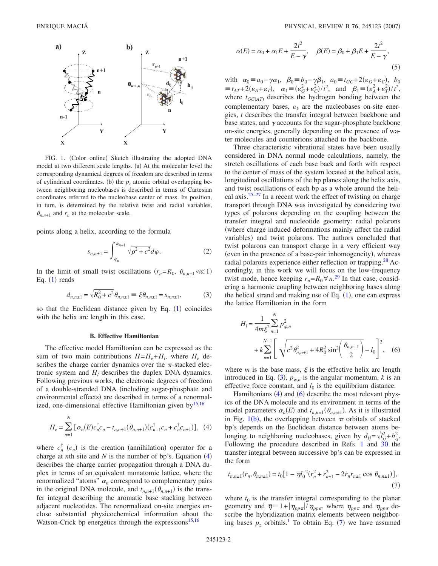<span id="page-1-0"></span>

FIG. 1. (Color online) Sketch illustrating the adopted DNA model at two different scale lengths. (a) At the molecular level the corresponding dynamical degrees of freedom are described in terms of cylindrical coordinates. (b) the  $p<sub>z</sub>$  atomic orbital overlapping between neighboring nucleobases is described in terms of Cartesian coordinates referred to the nucleobase center of mass. Its position, in turn, is determined by the relative twist and radial variables,  $\theta_{n,n+1}$  and  $r_n$  at the molecular scale.

points along a helix, according to the formula

$$
s_{n,n\pm 1} = \int_{\varphi_n}^{\varphi_{n+1}} \sqrt{\rho^2 + c^2} d\varphi.
$$
 (2)

In the limit of small twist oscillations  $(r_n = R_0, \theta_{n,n+1} \lll 1)$ Eq.  $(1)$  $(1)$  $(1)$  reads

$$
d_{n,n\pm 1} = \sqrt{R_0^2 + c^2} \theta_{n,n\pm 1} \equiv \xi \theta_{n,n\pm 1} = s_{n,n\pm 1},
$$
 (3)

<span id="page-1-2"></span>so that the Euclidean distance given by Eq.  $(1)$  $(1)$  $(1)$  coincides with the helix arc length in this case.

#### **B. Effective Hamiltonian**

The effective model Hamiltonian can be expressed as the sum of two main contributions  $H = H_e + H_l$ , where  $H_e$  describes the charge carrier dynamics over the  $\pi$ -stacked electronic system and  $H_l$  describes the duplex DNA dynamics. Following previous works, the electronic degrees of freedom of a double-stranded DNA including sugar-phosphate and environmental effects) are described in terms of a renormalized, one-dimensional effective Hamiltonian given by  $15,16$  $15,16$ 

*N*

<span id="page-1-1"></span>
$$
H_e = \sum_{n=1}^{N} \left[ \alpha_n(E) c_n^{\dagger} c_n - t_{n,n+1} (\theta_{n,n+1}) (c_{n+1}^{\dagger} c_n + c_n^{\dagger} c_{n+1}) \right], \tag{4}
$$

where  $c_n^{\dagger}$  ( $c_n$ ) is the creation (annihilation) operator for a charge at *n*th site and  $N$  is the number of bp's. Equation  $(4)$  $(4)$  $(4)$ describes the charge carrier propagation through a DNA duplex in terms of an equivalent monatomic lattice, where the renormalized "atoms"  $\alpha_n$  correspond to complementary pairs in the original DNA molecule, and  $t_{n,n+1}$  ( $\theta_{n,n+1}$ ) is the transfer integral describing the aromatic base stacking between adjacent nucleotides. The renormalized on-site energies enclose substantial physicochemical information about the Watson-Crick bp energetics through the expressions<sup>15,[16](#page-6-8)</sup>

<span id="page-1-5"></span>
$$
\alpha(E) = \alpha_0 + \alpha_1 E + \frac{2t^2}{E - \gamma}, \quad \beta(E) = \beta_0 + \beta_1 E + \frac{2t^2}{E - \gamma},
$$
\n(5)

with  $\alpha_0 \equiv a_0 - \gamma \alpha_1$ ,  $\beta_0 \equiv b_0 - \gamma \beta_1$ ,  $a_0 \equiv t_{GC} + 2(\epsilon_G + \epsilon_C)$ ,  $b_0$  $\equiv t_{AT} + 2(\epsilon_A + \epsilon_T)$ ,  $\alpha_1 \equiv (\epsilon_G^2 + \epsilon_C^2)/t^2$ , and  $\beta_1 \equiv (\epsilon_A^2 + \epsilon_T^2)/t^2$ , where  $t_{GC(AT)}$  describes the hydrogen bonding between the complementary bases,  $\varepsilon_k$  are the nucleobases on-site energies, *t* describes the transfer integral between backbone and base states, and  $\gamma$  accounts for the sugar-phosphate backbone on-site energies, generally depending on the presence of water molecules and counterions attached to the backbone.

Three characteristic vibrational states have been usually considered in DNA normal mode calculations, namely, the stretch oscillations of each base back and forth with respect to the center of mass of the system located at the helical axis, longitudinal oscillations of the bp planes along the helix axis, and twist oscillations of each bp as a whole around the helical axis. $25-27$  In a recent work the effect of twisting on charge transport through DNA was investigated by considering two types of polarons depending on the coupling between the transfer integral and nucleotide geometry: radial polarons where charge induced deformations mainly affect the radial variables) and twist polarons. The authors concluded that twist polarons can transport charge in a very efficient way (even in the presence of a base-pair inhomogeneity), whereas radial polarons experience either reflection or trapping.<sup>28</sup> Accordingly, in this work we will focus on the low-frequency twist mode, hence keeping  $r_n = R_0 \forall n$ .<sup>[29](#page-6-16)</sup> In that case, considering a harmonic coupling between neighboring bases along the helical strand and making use of Eq.  $(1)$  $(1)$  $(1)$ , one can express the lattice Hamiltonian in the form

<span id="page-1-3"></span>
$$
H_{l} = \frac{1}{4m\xi^{2}}\sum_{n=1}^{N} p_{\varphi,n}^{2}
$$
  
+  $k\sum_{n=1}^{N-1} \left[ \sqrt{c^{2} \theta_{n,n+1}^{2} + 4R_{0}^{2} \sin^{2} \left(\frac{\theta_{n,n+1}}{2}\right)} - l_{0} \right]^{2}$ , (6)

where *m* is the base mass,  $\xi$  is the effective helix arc length introduced in Eq. ([3](#page-1-2)),  $p_{\varphi,n}$  is the angular momentum, *k* is an effective force constant, and  $l_0$  is the equilibrium distance.

Hamiltonians  $(4)$  $(4)$  $(4)$  and  $(6)$  $(6)$  $(6)$  describe the most relevant physics of the DNA molecule and its environment in terms of the model parameters  $\alpha_n(E)$  and  $t_{n,n\pm 1}(\theta_{n,n\pm 1})$ . As it is illustrated in Fig.  $1(b)$  $1(b)$ , the overlapping between  $\pi$  orbitals of stacked bp's depends on the Euclidean distance between atoms belonging to neighboring nucleobases, given by  $d_{ij} = \sqrt{l_{ij}^2 + h_{ij}^2}$ . Following the procedure described in Refs. [1](#page-6-0) and  $30$  the transfer integral between successive bp's can be expressed in the form

<span id="page-1-4"></span>
$$
t_{n,n\pm 1}(r_n, \theta_{n,n\pm 1}) = t_0 \big[ 1 - \overline{\eta} l_0^{-2} (r_n^2 + r_{n\pm 1}^2 - 2r_n r_{n\pm 1} \cos \theta_{n,n\pm 1}) \big],\tag{7}
$$

where  $t_0$  is the transfer integral corresponding to the planar geometry and  $\bar{\eta} = 1 + |\eta_{pp\pi}| / \eta_{pp\sigma}$ , where  $\eta_{pp\pi}$  and  $\eta_{pp\sigma}$  describe the hybridization matrix elements between neighboring bases  $p_z$  orbitals.<sup>1</sup> To obtain Eq. ([7](#page-1-4)) we have assumed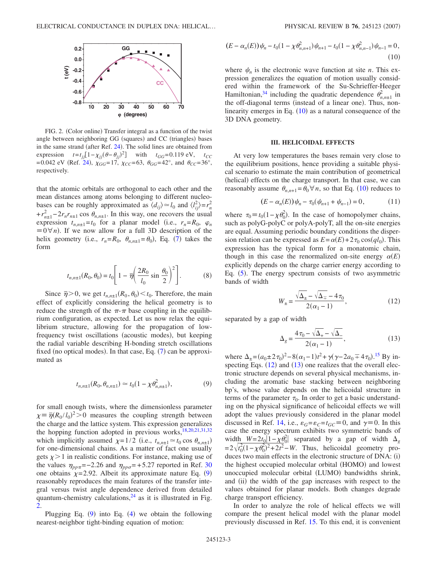<span id="page-2-1"></span>

FIG. 2. (Color online) Transfer integral as a function of the twist angle between neighboring GG (squares) and CC (triangles) bases in the same strand (after Ref. [24](#page-6-11)). The solid lines are obtained from expression  $t = t_{jj} [1 - \chi_{jj} (\theta - \theta_{jj})^2]$  with  $t_{GG} = 0.119 \text{ eV}$ ,  $t_{CC}$ =0.042 eV (Ref. [24](#page-6-11)),  $\chi_{GG}$ =17,  $\chi_{CC}$ =63,  $\theta_{GG}$ =42°, and  $\theta_{CC}$ =36°, respectively.

that the atomic orbitals are orthogonal to each other and the mean distances among atoms belonging to different nucleobases can be roughly approximated as  $\langle d_{ij} \rangle \approx l_0$  and  $\langle l_{ij}^2 \rangle = r_n^2$  $+r_{n\pm1}^2-2r_nr_{n\pm1}$  cos  $\theta_{n,n\pm1}$ . In this way, one recovers the usual expression  $t_{n,n\pm1} = t_0$  for a planar model (i.e.,  $r_n = R_0$ ,  $\varphi_n$  $\equiv 0 \forall n$ ). If we now allow for a full 3D description of the helix geometry (i.e.,  $r_n = R_0$ ,  $\theta_{n,n\pm 1} = \theta_0$ ), Eq. ([7](#page-1-4)) takes the form

$$
t_{n,n\pm 1}(R_0, \theta_0) = t_0 \left[ 1 - \overline{\eta} \left( \frac{2R_0}{l_0} \sin \frac{\theta_0}{2} \right)^2 \right].
$$
 (8)

Since  $\bar{\eta}$  > 0, we get  $t_{n,n\pm 1}(R_0, \theta_0) < t_0$ . Therefore, the main effect of explicitly considering the helical geometry is to reduce the strength of the  $\pi$ - $\pi$  base coupling in the equilibrium configuration, as expected. Let us now relax the equilibrium structure, allowing for the propagation of lowfrequency twist oscillations (acoustic modes), but keeping the radial variable describing H-bonding stretch oscillations fixed (no optical modes). In that case, Eq. ([7](#page-1-4)) can be approximated as

$$
t_{n,n\pm 1}(R_0, \theta_{n,n\pm 1}) \simeq t_0(1 - \chi \theta_{n,n\pm 1}^2), \tag{9}
$$

<span id="page-2-0"></span>for small enough twists, where the dimensionless parameter  $\chi = \overline{\eta}(R_0 / l_0)^2 > 0$  measures the coupling strength between the charge and the lattice system. This expression generalizes the hopping function adopted in previous works, $18,20,21,31,32$  $18,20,21,31,32$  $18,20,21,31,32$  $18,20,21,31,32$  $18,20,21,31,32$ which implicitly assumed  $\chi=1/2$  (i.e.,  $t_{n,n\pm1} \approx t_0 \cos \theta_{n,n\pm1}$ ) for one-dimensional chains. As a matter of fact one usually gets  $\chi$  > 1 in realistic conditions. For instance, making use of the values  $\eta_{pp\pi}$ =-2.26 and  $\eta_{pp\sigma}$ =+5.27 reported in Ref. [30](#page-6-17) one obtains  $\chi$ =2.[9](#page-2-0)2. Albeit its approximate nature Eq. (9) reasonably reproduces the main features of the transfer integral versus twist angle dependence derived from detailed quantum-chemistry calculations, $24$  as it is illustrated in Fig. [2.](#page-2-1)

Plugging Eq.  $(9)$  $(9)$  $(9)$  into Eq.  $(4)$  $(4)$  $(4)$  we obtain the following nearest-neighbor tight-binding equation of motion:

<span id="page-2-2"></span>
$$
(E - \alpha_n(E))\psi_n - t_0(1 - \chi \theta_{n,n+1}^2)\psi_{n+1} - t_0(1 - \chi \theta_{n,n-1}^2)\psi_{n-1} = 0,
$$
\n(10)

where  $\psi_n$  is the electronic wave function at site *n*. This expression generalizes the equation of motion usually considered within the framework of the Su-Schrieffer-Heeger Hamiltonian,<sup>34</sup> including the quadratic dependence  $\theta_{n,n\pm1}^2$  in the off-diagonal terms (instead of a linear one). Thus, nonlinearity emerges in Eq.  $(10)$  $(10)$  $(10)$  as a natural consequence of the 3D DNA geometry.

#### **III. HELICOIDAL EFFECTS**

At very low temperatures the bases remain very close to the equilibrium positions, hence providing a suitable physical scenario to estimate the main contribution of geometrical (helical) effects on the charge transport. In that case, we can reasonably assume  $\theta_{n,n+1} = \theta_0 \forall n$ , so that Eq. ([10](#page-2-2)) reduces to

$$
(E - \alpha_n(E))\psi_n - \tau_0(\psi_{n+1} + \psi_{n-1}) = 0, \qquad (11)
$$

<span id="page-2-5"></span>where  $\tau_0 \equiv t_0(1-\chi \theta_0^2)$ . In the case of homopolymer chains, such as polyG-polyC or polyA-polyT, all the on-site energies are equal. Assuming periodic boundary conditions the dispersion relation can be expressed as  $E = \alpha(E) + 2\tau_0 \cos(qI_0)$ . This expression has the typical form for a monatomic chain, though in this case the renormalized on-site energy  $\alpha(E)$ explicitly depends on the charge carrier energy according to Eq. ([5](#page-1-5)). The energy spectrum consists of two asymmetric bands of width

$$
W_{\pm} = \frac{\sqrt{\Delta_{\pm}} - \sqrt{\Delta_{\mp}} - 4\,\tau_0}{2(\alpha_1 - 1)},\tag{12}
$$

<span id="page-2-4"></span><span id="page-2-3"></span>separated by a gap of width

$$
\Delta_g = \frac{4\tau_0 - \sqrt{\Delta_+} - \sqrt{\Delta_-}}{2(\alpha_1 - 1)},\tag{13}
$$

where  $\Delta_{\pm} = (a_0 \pm 2\tau_0)^2 - 8(\alpha_1 - 1)t^2 + \gamma(\gamma - 2a_0 \mp 4\tau_0).$ <sup>[15](#page-6-14)</sup> By inspecting Eqs.  $(12)$  $(12)$  $(12)$  and  $(13)$  $(13)$  $(13)$  one realizes that the overall electronic structure depends on several physical mechanisms, including the aromatic base stacking between neighboring bp's, whose value depends on the helicoidal structure in terms of the parameter  $\tau_0$ . In order to get a basic understanding on the physical significance of helicoidal effects we will adopt the values previously considered in the planar model discussed in Ref. [14,](#page-6-7) i.e.,  $\varepsilon_G = \varepsilon_C = t_{GC} \equiv 0$ , and  $\gamma \equiv 0$ . In this case the energy spectrum exhibits two symmetric bands of width  $W=2t_0[1-\chi\theta_0^2]$  separated by a gap of width  $\Delta_g$  $=2\sqrt{t_0^2(1-\chi\theta_0^2)^2+2t^2}$ – *W*. Thus, helicoidal geometry produces two main effects in the electronic structure of DNA: (i) the highest occupied molecular orbital (HOMO) and lowest unoccupied molecular orbital (LUMO) bandwidths shrink, and (ii) the width of the gap increases with respect to the values obtained for planar models. Both changes degrade charge transport efficiency.

In order to analyze the role of helical effects we will compare the present helical model with the planar model previously discussed in Ref. [15.](#page-6-14) To this end, it is convenient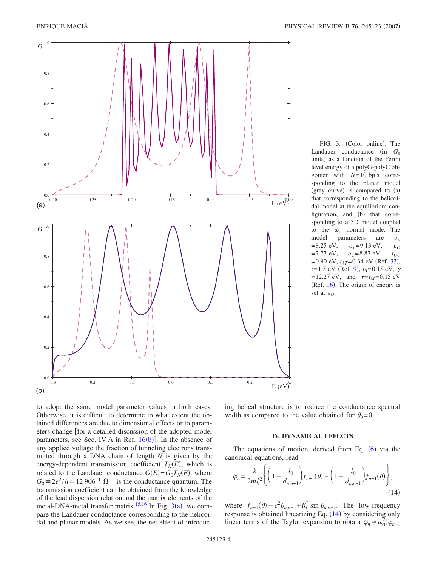<span id="page-3-0"></span>

FIG. 3. (Color online). The Landauer conductance (in *G*<sub>0</sub> units) as a function of the Fermi level energy of a polyG-polyC oligomer with *N*=10 bp's corresponding to the planar model (gray curve) is compared to (a) that corresponding to the helicoidal model at the equilibrium configuration, and (b) that corresponding to a 3D model coupled to the  $\omega_+$  normal mode. The model parameters are *A*  $=8.25$  eV,  $\varepsilon_T = 9.13$  eV, *G* =7.77 eV,  $\varepsilon_C$ =8.87 eV,  $t_{GC}$  $=0.90$  eV,  $t_{AT}=0.34$  eV (Ref. [33](#page-6-23)),  $t=1.5$  eV (Ref. [9](#page-6-5)),  $t_0=0.15$  eV,  $\gamma$  $=12.27 \text{ eV}$ , and  $\tau=t_M=0.15 \text{ eV}$ (Ref. [16](#page-6-8)). The origin of energy is set at  $\varepsilon_G$ .

to adopt the same model parameter values in both cases. Otherwise, it is difficult to determine to what extent the obtained differences are due to dimensional effects or to parameters change [for a detailed discussion of the adopted model parameters, see Sec. IV A in Ref.  $16(b)$  $16(b)$ ]. In the absence of any applied voltage the fraction of tunneling electrons transmitted through a DNA chain of length *N* is given by the energy-dependent transmission coefficient  $T_N(E)$ , which is related to the Landauer conductance  $G(E) = G_0 T_N(E)$ , where  $G_0 \equiv 2e^2/h \approx 12906^{-1} \Omega^{-1}$  is the conductance quantum. The transmission coefficient can be obtained from the knowledge of the lead dispersion relation and the matrix elements of the metal-DNA-metal transfer matrix.<sup>15[,16](#page-6-8)</sup> In Fig.  $3(a)$  $3(a)$ , we compare the Landauer conductance corresponding to the helicoidal and planar models. As we see, the net effect of introducing helical structure is to reduce the conductance spectral width as compared to the value obtained for  $\theta_0 = 0$ .

## **IV. DYNAMICAL EFFECTS**

The equations of motion, derived from Eq.  $(6)$  $(6)$  $(6)$  via the canonical equations, read

<span id="page-3-1"></span>
$$
\ddot{\varphi}_n = \frac{k}{2m\xi^2} \Biggl\{ \Biggl( 1 - \frac{l_0}{d_{n,n+1}} \Biggr) f_{n+1}(\theta) - \Biggl( 1 - \frac{l_0}{d_{n,n-1}} \Biggr) f_{n-1}(\theta) \Biggr\},\tag{14}
$$

where  $f_{n\pm 1}(\theta) \equiv c^2 \theta_{n,n\pm 1} + R_0^2 \sin \theta_{n,n\pm 1}$ . The low-frequency response is obtained linearizing Eq. ([14](#page-3-1)) by considering only linear terms of the Taylor expansion to obtain  $\ddot{\varphi}_n \simeq \omega_0^2(\varphi_{n+1})$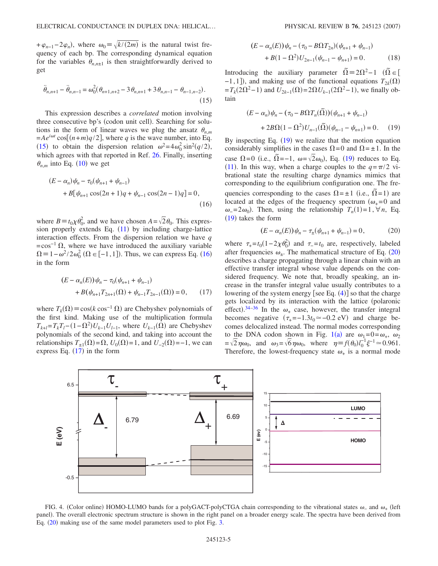$+\varphi_{n-1}-2\varphi_n$ , where  $\omega_0 = \sqrt{k/(2m)}$  is the natural twist frequency of each bp. The corresponding dynamical equation for the variables  $\theta_{n,n\pm 1}$  is then straightforwardly derived to get

<span id="page-4-0"></span>
$$
\ddot{\theta}_{n,n+1} - \ddot{\theta}_{n,n-1} = \omega_0^2 (\theta_{n+1,n+2} - 3\theta_{n,n+1} + 3\theta_{n,n-1} - \theta_{n-1,n-2}).
$$
\n(15)

This expression describes a *correlated* motion involving three consecutive bp's (codon unit cell). Searching for solutions in the form of linear waves we plug the ansatz  $\theta_{n,m}$  $= A e^{i\omega t} \cos[(n+m)q/2]$ , where *q* is the wave number, into Eq. ([15](#page-4-0)) to obtain the dispersion relation  $\omega^2 = 4\omega_0^2 \sin^2(q/2)$ , which agrees with that reported in Ref. [26.](#page-6-24) Finally, inserting  $\theta_{n,m}$  into Eq. ([10](#page-2-2)) we get

<span id="page-4-1"></span>
$$
(E - \alpha_n)\psi_n - \tau_0(\psi_{n+1} + \psi_{n-1})
$$
  
+  $B[\psi_{n+1}\cos(2n+1)q + \psi_{n-1}\cos(2n-1)q] = 0,$  (16)

where  $B = t_0 \chi \theta_0^2$ , and we have chosen  $A = \sqrt{2} \theta_0$ . This expression properly extends Eq.  $(11)$  $(11)$  $(11)$  by including charge-lattice interaction effects. From the dispersion relation we have *q*  $=\cos^{-1} \Omega$ , where we have introduced the auxiliary variable  $\Omega = 1 - \omega^2 / 2\omega_0^2$  ( $\Omega \in [-1,1]$ ). Thus, we can express Eq. ([16](#page-4-1)) in the form

<span id="page-4-2"></span>
$$
(E - \alpha_n(E))\psi_n - \tau_0(\psi_{n+1} + \psi_{n-1})
$$
  
+  $B(\psi_{n+1}T_{2n+1}(\Omega) + \psi_{n-1}T_{2n-1}(\Omega)) = 0,$  (17)

where  $T_k(\Omega) \equiv \cos(k \cos^{-1} \Omega)$  are Chebyshev polynomials of the first kind. Making use of the multiplication formula  $T_{k+l} = T_k T_l - (1 - \Omega^2) U_{k-1} U_{l-1}$ , where  $U_{k-1}(\Omega)$  are Chebyshev polynomials of the second kind, and taking into account the relationships  $T_{\pm 1}(\Omega) = \Omega$ ,  $U_0(\Omega) = 1$ , and  $U_{-2}(\Omega) = -1$ , we can express Eq.  $(17)$  $(17)$  $(17)$  in the form

$$
(E - \alpha_n(E))\psi_n - (\tau_0 - B\Omega T_{2n})(\psi_{n+1} + \psi_{n-1})
$$
  
+ 
$$
B(1 - \Omega^2)U_{2n-1}(\psi_{n-1} - \psi_{n+1}) = 0.
$$
 (18)

Introducing the auxiliary parameter  $\overline{\Omega} = 2\Omega^2 - 1$   $(\overline{\Omega} \in [$  $-1$ , 1<sup>]</sup>), and making use of the functional equations  $T_{2k}(\Omega)$  $=T_k(2\Omega^2 - 1)$  and  $U_{2k-1}(\Omega) = 2\Omega U_{k-1}(2\Omega^2 - 1)$ , we finally obtain

<span id="page-4-3"></span>
$$
(E - \alpha_n)\psi_n - (\tau_0 - B\Omega T_n(\tilde{\Omega}))(\psi_{n+1} + \psi_{n-1})
$$
  
+  $2B\Omega(1 - \Omega^2)U_{n-1}(\tilde{\Omega})(\psi_{n-1} - \psi_{n+1}) = 0.$  (19)

By inspecting Eq. ([19](#page-4-3)) we realize that the motion equation considerably simplifies in the cases  $\Omega = 0$  and  $\Omega = \pm 1$ . In the case  $\Omega$ =0 (i.e.,  $\tilde{\Omega}$ =-1,  $\omega$ = $\sqrt{2}\omega_0$ ), Eq. ([19](#page-4-3)) reduces to Eq. ([11](#page-2-5)). In this way, when a charge couples to the  $q = \pi/2$  vibrational state the resulting charge dynamics mimics that corresponding to the equilibrium configuration one. The frequencies corresponding to the cases  $\Omega = \pm 1$  (i.e.,  $\overline{\Omega} = 1$ ) are located at the edges of the frequency spectrum  $(\omega_{+} = 0$  and  $\omega_0 = 2\omega_0$ . Then, using the relationship  $T_n(1) = 1$ ,  $\forall n$ , Eq.  $(19)$  $(19)$  $(19)$  takes the form

$$
(E - \alpha_n(E))\psi_n - \tau_{\pm}(\psi_{n+1} + \psi_{n-1}) = 0, \qquad (20)
$$

<span id="page-4-4"></span>where  $\tau_{+} = t_0 (1 - 2\chi \theta_0^2)$  and  $\tau_{-} = t_0$  are, respectively, labeled after frequencies  $\omega_{\pm}$ . The mathematical structure of Eq. ([20](#page-4-4)) describes a charge propagating through a linear chain with an effective transfer integral whose value depends on the considered frequency. We note that, broadly speaking, an increase in the transfer integral value usually contributes to a lowering of the system energy [see Eq.  $(4)$  $(4)$  $(4)$ ] so that the charge gets localized by its interaction with the lattice (polaronic effect).<sup>[34–](#page-6-22)[36](#page-6-25)</sup> In the  $\omega_+$  case, however, the transfer integral becomes negative  $(\tau_{+} = -1.3t_0 \approx -0.2 \text{ eV})$  and charge becomes delocalized instead. The normal modes corresponding to the DNA codon shown in Fig. [1](#page-1-0)(a) are  $\omega_1=0=\omega_+$ ,  $\omega_2$  $=\sqrt{2}\eta\omega_0$ , and  $\omega_3=\sqrt{6}\eta\omega_0$ , where  $\eta = f(\theta_0)l_0^{-1}\xi^{-1} \approx 0.961$ . Therefore, the lowest-frequency state  $\omega_+$  is a normal mode

<span id="page-4-5"></span>

FIG. 4. (Color online) HOMO-LUMO bands for a polyGACT-polyCTGA chain corresponding to the vibrational states  $\omega_-$  and  $\omega_+$  (left panel). The overall electronic spectrum structure is shown in the right panel on a broader energy scale. The spectra have been derived from Eq. ([20](#page-4-4)) making use of the same model parameters used to plot Fig. [3.](#page-3-0)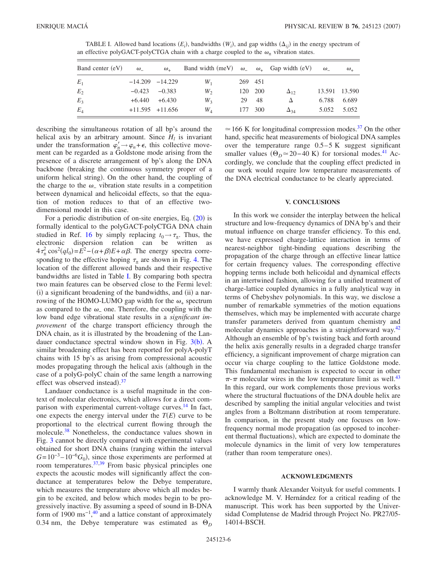<span id="page-5-0"></span>TABLE I. Allowed band locations  $(E_i)$ , bandwidths  $(W_i)$ , and gap widths  $(\Delta_{ij})$  in the energy spectrum of an effective polyGACT-polyCTGA chain with a charge coupled to the  $\omega_{+}$  vibration states.

| Band center (eV) | $\omega$ | $\omega_{\perp}$    | Band width (meV) $\omega_{-}$ $\omega_{+}$ Gap width (eV) |         |         |               | $\omega$ | $\omega_{\perp}$ |
|------------------|----------|---------------------|-----------------------------------------------------------|---------|---------|---------------|----------|------------------|
| $E_1$            |          | $-14.209$ $-14.229$ | $W_1$                                                     | 269 451 |         |               |          |                  |
| $E_2$            |          | $-0.423 -0.383$     | $W_2$                                                     |         | 120 200 | $\Delta_{12}$ |          | 13.591 13.590    |
| $E_3$            |          | $+6.440 +6.430$     | $W_3$                                                     | 29      | -48     |               | 6.788    | 6.689            |
| $E_4$            |          | $+11.595$ $+11.656$ | $W_{A}$                                                   |         | 177 300 | $\Delta_{34}$ | 5.052    | 5.052            |

describing the simultaneous rotation of all bp's around the helical axis by an arbitrary amount. Since  $H_l$  is invariant under the transformation  $\varphi'_n \to \varphi_n + \epsilon$ , this collective movement can be regarded as a Goldstone mode arising from the presence of a discrete arrangement of bp's along the DNA backbone (breaking the continuous symmetry proper of a uniform helical string). On the other hand, the coupling of the charge to the  $\omega$  vibration state results in a competition between dynamical and helicoidal effects, so that the equation of motion reduces to that of an effective twodimensional model in this case.

For a periodic distribution of on-site energies, Eq. ([20](#page-4-4)) is formally identical to the polyGACT-polyCTGA DNA chain studied in Ref. [16](#page-6-8) by simply replacing  $t_0 \rightarrow \tau_{\pm}$ . Thus, the electronic dispersion relation can be written as  $4\tau_{\pm}^2 \cos^2(ql_0) = \overline{E}^2 - (\alpha + \beta)E + \alpha\beta$ . The energy spectra corresponding to the effective hoping  $\tau_{+}$  are shown in Fig. [4.](#page-4-5) The location of the different allowed bands and their respective bandwidths are listed in Table [I.](#page-5-0) By comparing both spectra two main features can be observed close to the Fermi level: (i) a significant broadening of the bandwidths, and (ii) a narrowing of the HOMO-LUMO gap width for the  $\omega_{+}$  spectrum as compared to the  $\omega$  one. Therefore, the coupling with the low band edge vibrational state results in a *significant improvement* of the charge transport efficiency through the DNA chain, as it is illustrated by the broadening of the Landauer conductance spectral window shown in Fig.  $3(b)$  $3(b)$ . A similar broadening effect has been reported for polyA-polyT chains with 15 bp's as arising from compressional acoustic modes propagating through the helical axis (although in the case of a polyG-polyC chain of the same length a narrowing effect was observed instead).<sup>[37](#page-6-26)</sup>

Landauer conductance is a useful magnitude in the context of molecular electronics, which allows for a direct comparison with experimental current-voltage curves.<sup>14</sup> In fact, one expects the energy interval under the  $T(E)$  curve to be proportional to the electrical current flowing through the molecule.<sup>38</sup> Nonetheless, the conductance values shown in Fig. [3](#page-3-0) cannot be directly compared with experimental values obtained for short DNA chains (ranging within the interval  $G=10^{-3}-10^{-6}G_0$ , since those experiments are performed at room temperatures[.37](#page-6-26)[,39](#page-6-28) From basic physical principles one expects the acoustic modes will significantly affect the conductance at temperatures below the Debye temperature, which measures the temperature above which all modes begin to be excited, and below which modes begin to be progressively inactive. By assuming a speed of sound in B-DNA form of 1900 ms<sup>-1</sup>,<sup>[40](#page-6-29)</sup> and a lattice constant of approximately 0.34 nm, the Debye temperature was estimated as  $\Theta_D$   $\approx$  166 K for longitudinal compression modes.<sup>37</sup> On the other hand, specific heat measurements of biological DNA samples over the temperature range  $0.5-5$  K suggest significant smaller values  $(\Theta_D \approx 20 - 40 \text{ K})$  for torsional modes.<sup>41</sup> Accordingly, we conclude that the coupling effect predicted in our work would require low temperature measurements of the DNA electrical conductance to be clearly appreciated.

#### **V. CONCLUSIONS**

In this work we consider the interplay between the helical structure and low-frequency dynamics of DNA bp's and their mutual influence on charge transfer efficiency. To this end, we have expressed charge-lattice interaction in terms of nearest-neighbor tight-binding equations describing the propagation of the charge through an effective linear lattice for certain frequency values. The corresponding effective hopping terms include both helicoidal and dynamical effects in an intertwined fashion, allowing for a unified treatment of charge-lattice coupled dynamics in a fully analytical way in terms of Chebyshev polynomials. In this way, we disclose a number of remarkable symmetries of the motion equations themselves, which may be implemented with accurate charge transfer parameters derived from quantum chemistry and molecular dynamics approaches in a straightforward way.<sup>42</sup> Although an ensemble of bp's twisting back and forth around the helix axis generally results in a degraded charge transfer efficiency, a significant improvement of charge migration can occur via charge coupling to the lattice Goldstone mode. This fundamental mechanism is expected to occur in other  $\pi$ - $\pi$  molecular wires in the low temperature limit as well.<sup>43</sup> In this regard, our work complements those previous works where the structural fluctuations of the DNA double helix are described by sampling the initial angular velocities and twist angles from a Boltzmann distribution at room temperature. In comparison, in the present study one focuses on lowfrequency normal mode propagation (as opposed to incoherent thermal fluctuations), which are expected to dominate the molecule dynamics in the limit of very low temperatures (rather than room temperature ones).

#### **ACKNOWLEDGMENTS**

I warmly thank Alexander Voityuk for useful comments. I acknowledge M. V. Hernández for a critical reading of the manuscript. This work has been supported by the Universidad Complutense de Madrid through Project No. PR27/05- 14014-BSCH.